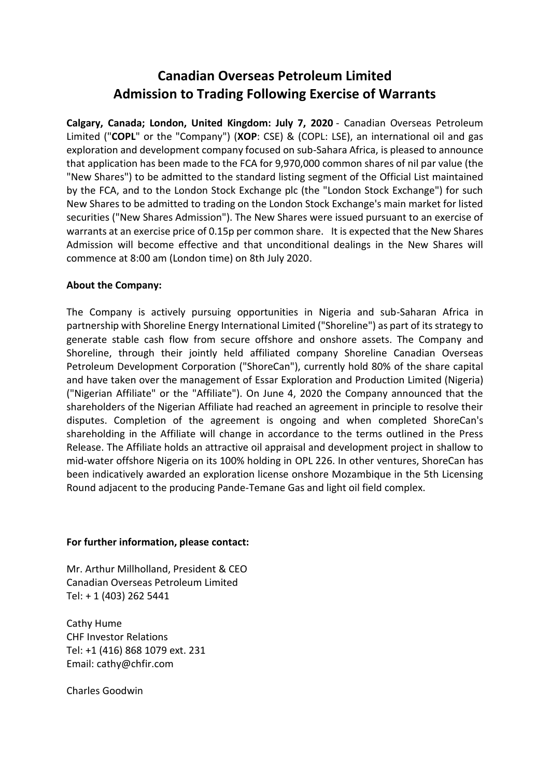## **Canadian Overseas Petroleum Limited Admission to Trading Following Exercise of Warrants**

**Calgary, Canada; London, United Kingdom: July 7, 2020** - Canadian Overseas Petroleum Limited ("**COPL**" or the "Company") (**XOP**: CSE) & (COPL: LSE), an international oil and gas exploration and development company focused on sub-Sahara Africa, is pleased to announce that application has been made to the FCA for 9,970,000 common shares of nil par value (the "New Shares") to be admitted to the standard listing segment of the Official List maintained by the FCA, and to the London Stock Exchange plc (the "London Stock Exchange") for such New Shares to be admitted to trading on the London Stock Exchange's main market for listed securities ("New Shares Admission"). The New Shares were issued pursuant to an exercise of warrants at an exercise price of 0.15p per common share. It is expected that the New Shares Admission will become effective and that unconditional dealings in the New Shares will commence at 8:00 am (London time) on 8th July 2020.

## **About the Company:**

The Company is actively pursuing opportunities in Nigeria and sub-Saharan Africa in partnership with Shoreline Energy International Limited ("Shoreline") as part of its strategy to generate stable cash flow from secure offshore and onshore assets. The Company and Shoreline, through their jointly held affiliated company Shoreline Canadian Overseas Petroleum Development Corporation ("ShoreCan"), currently hold 80% of the share capital and have taken over the management of Essar Exploration and Production Limited (Nigeria) ("Nigerian Affiliate" or the "Affiliate"). On June 4, 2020 the Company announced that the shareholders of the Nigerian Affiliate had reached an agreement in principle to resolve their disputes. Completion of the agreement is ongoing and when completed ShoreCan's shareholding in the Affiliate will change in accordance to the terms outlined in the Press Release. The Affiliate holds an attractive oil appraisal and development project in shallow to mid-water offshore Nigeria on its 100% holding in OPL 226. In other ventures, ShoreCan has been indicatively awarded an exploration license onshore Mozambique in the 5th Licensing Round adjacent to the producing Pande-Temane Gas and light oil field complex.

## **For further information, please contact:**

Mr. Arthur Millholland, President & CEO Canadian Overseas Petroleum Limited Tel: + 1 (403) 262 5441

Cathy Hume CHF Investor Relations Tel: +1 (416) 868 1079 ext. 231 Email: cathy@chfir.com

Charles Goodwin